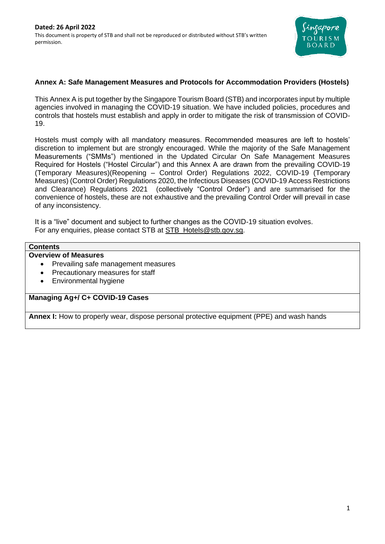

# **Annex A: Safe Management Measures and Protocols for Accommodation Providers (Hostels)**

This Annex A is put together by the Singapore Tourism Board (STB) and incorporates input by multiple agencies involved in managing the COVID-19 situation. We have included policies, procedures and controls that hostels must establish and apply in order to mitigate the risk of transmission of COVID-19.

Hostels must comply with all mandatory measures. Recommended measures are left to hostels' discretion to implement but are strongly encouraged. While the majority of the Safe Management Measurements ("SMMs") mentioned in the Updated Circular On Safe Management Measures Required for Hostels ("Hostel Circular") and this Annex A are drawn from the prevailing COVID-19 (Temporary Measures)(Reopening – Control Order) Regulations 2022, COVID-19 (Temporary Measures) (Control Order) Regulations 2020, the Infectious Diseases (COVID-19 Access Restrictions and Clearance) Regulations 2021 (collectively "Control Order") and are summarised for the convenience of hostels, these are not exhaustive and the prevailing Control Order will prevail in case of any inconsistency.

It is a "live" document and subject to further changes as the COVID-19 situation evolves. For any enquiries, please contact STB at [STB\\_Hotels@stb.gov.sg.](mailto:STB_Hotels@stb.gov.sg)

# **Contents**

# **Overview of Measures**

- Prevailing safe management measures
- Precautionary measures for staff
- Environmental hygiene

#### **Managing Ag+/ C+ COVID-19 Cases**

**Annex I:** How to properly wear, dispose personal protective equipment (PPE) and wash hands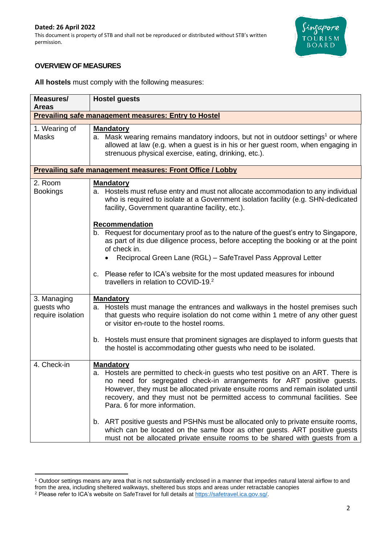

# **OVERVIEW OF MEASURES**

**All hostels** must comply with the following measures:

| Measures/<br>Areas                             | <b>Hostel guests</b>                                                                                                                                                                                                                                                                                                                                                              |  |  |  |  |
|------------------------------------------------|-----------------------------------------------------------------------------------------------------------------------------------------------------------------------------------------------------------------------------------------------------------------------------------------------------------------------------------------------------------------------------------|--|--|--|--|
|                                                | <b>Prevailing safe management measures: Entry to Hostel</b>                                                                                                                                                                                                                                                                                                                       |  |  |  |  |
| 1. Wearing of<br><b>Masks</b>                  | <b>Mandatory</b><br>a. Mask wearing remains mandatory indoors, but not in outdoor settings <sup>1</sup> or where<br>allowed at law (e.g. when a guest is in his or her guest room, when engaging in<br>strenuous physical exercise, eating, drinking, etc.).                                                                                                                      |  |  |  |  |
|                                                | Prevailing safe management measures: Front Office / Lobby                                                                                                                                                                                                                                                                                                                         |  |  |  |  |
| 2. Room<br><b>Bookings</b>                     | <b>Mandatory</b><br>a. Hostels must refuse entry and must not allocate accommodation to any individual<br>who is required to isolate at a Government isolation facility (e.g. SHN-dedicated<br>facility, Government quarantine facility, etc.).                                                                                                                                   |  |  |  |  |
|                                                | Recommendation<br>b. Request for documentary proof as to the nature of the guest's entry to Singapore,<br>as part of its due diligence process, before accepting the booking or at the point<br>of check in.<br>Reciprocal Green Lane (RGL) - SafeTravel Pass Approval Letter                                                                                                     |  |  |  |  |
|                                                | c. Please refer to ICA's website for the most updated measures for inbound<br>travellers in relation to COVID-19. <sup>2</sup>                                                                                                                                                                                                                                                    |  |  |  |  |
| 3. Managing<br>guests who<br>require isolation | <b>Mandatory</b><br>a. Hostels must manage the entrances and walkways in the hostel premises such<br>that guests who require isolation do not come within 1 metre of any other guest<br>or visitor en-route to the hostel rooms.                                                                                                                                                  |  |  |  |  |
|                                                | b. Hostels must ensure that prominent signages are displayed to inform guests that<br>the hostel is accommodating other guests who need to be isolated.                                                                                                                                                                                                                           |  |  |  |  |
| 4. Check-in                                    | <b>Mandatory</b><br>a. Hostels are permitted to check-in guests who test positive on an ART. There is<br>no need for segregated check-in arrangements for ART positive guests.<br>However, they must be allocated private ensuite rooms and remain isolated until<br>recovery, and they must not be permitted access to communal facilities. See<br>Para. 6 for more information. |  |  |  |  |
|                                                | b. ART positive guests and PSHNs must be allocated only to private ensuite rooms,<br>which can be located on the same floor as other guests. ART positive guests<br>must not be allocated private ensuite rooms to be shared with guests from a                                                                                                                                   |  |  |  |  |

<sup>1</sup> Outdoor settings means any area that is not substantially enclosed in a manner that impedes natural lateral airflow to and from the area, including sheltered walkways, sheltered bus stops and areas under retractable canopies

<sup>2</sup> Please refer to ICA's website on SafeTravel for full details at [https://safetravel.ica.gov.sg/.](https://safetravel.ica.gov.sg/)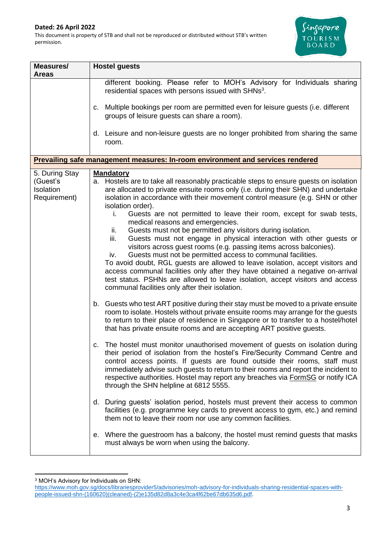

| Measures/                                               | <b>Hostel guests</b>                                                                                                                                                                                                                                                                                                                                                                                                                                                                                                                                                                                                                                                                                                                                                                                                                                                                                                                                                                                                                                                                                                                                                                                                                                                                                                                                                                                                                                                                                                                                                                                                                                                                                                                                                                                                                                    |  |  |
|---------------------------------------------------------|---------------------------------------------------------------------------------------------------------------------------------------------------------------------------------------------------------------------------------------------------------------------------------------------------------------------------------------------------------------------------------------------------------------------------------------------------------------------------------------------------------------------------------------------------------------------------------------------------------------------------------------------------------------------------------------------------------------------------------------------------------------------------------------------------------------------------------------------------------------------------------------------------------------------------------------------------------------------------------------------------------------------------------------------------------------------------------------------------------------------------------------------------------------------------------------------------------------------------------------------------------------------------------------------------------------------------------------------------------------------------------------------------------------------------------------------------------------------------------------------------------------------------------------------------------------------------------------------------------------------------------------------------------------------------------------------------------------------------------------------------------------------------------------------------------------------------------------------------------|--|--|
| <b>Areas</b>                                            | different booking. Please refer to MOH's Advisory for Individuals sharing<br>residential spaces with persons issued with SHNs <sup>3</sup> .                                                                                                                                                                                                                                                                                                                                                                                                                                                                                                                                                                                                                                                                                                                                                                                                                                                                                                                                                                                                                                                                                                                                                                                                                                                                                                                                                                                                                                                                                                                                                                                                                                                                                                            |  |  |
|                                                         | c. Multiple bookings per room are permitted even for leisure guests (i.e. different<br>groups of leisure guests can share a room).                                                                                                                                                                                                                                                                                                                                                                                                                                                                                                                                                                                                                                                                                                                                                                                                                                                                                                                                                                                                                                                                                                                                                                                                                                                                                                                                                                                                                                                                                                                                                                                                                                                                                                                      |  |  |
|                                                         | d. Leisure and non-leisure guests are no longer prohibited from sharing the same<br>room.                                                                                                                                                                                                                                                                                                                                                                                                                                                                                                                                                                                                                                                                                                                                                                                                                                                                                                                                                                                                                                                                                                                                                                                                                                                                                                                                                                                                                                                                                                                                                                                                                                                                                                                                                               |  |  |
|                                                         | <b>Prevailing safe management measures: In-room environment and services rendered</b>                                                                                                                                                                                                                                                                                                                                                                                                                                                                                                                                                                                                                                                                                                                                                                                                                                                                                                                                                                                                                                                                                                                                                                                                                                                                                                                                                                                                                                                                                                                                                                                                                                                                                                                                                                   |  |  |
| 5. During Stay<br>(Guest's<br>Isolation<br>Requirement) | <b>Mandatory</b><br>a. Hostels are to take all reasonably practicable steps to ensure guests on isolation<br>are allocated to private ensuite rooms only (i.e. during their SHN) and undertake<br>isolation in accordance with their movement control measure (e.g. SHN or other<br>isolation order).<br>Guests are not permitted to leave their room, except for swab tests,<br>i.<br>medical reasons and emergencies.<br>Guests must not be permitted any visitors during isolation.<br>ii.<br>Guests must not engage in physical interaction with other guests or<br>iii.<br>visitors across guest rooms (e.g. passing items across balconies).<br>Guests must not be permitted access to communal facilities.<br>iv.<br>To avoid doubt, RGL guests are allowed to leave isolation, accept visitors and<br>access communal facilities only after they have obtained a negative on-arrival<br>test status. PSHNs are allowed to leave isolation, accept visitors and access<br>communal facilities only after their isolation.<br>b. Guests who test ART positive during their stay must be moved to a private ensuite<br>room to isolate. Hostels without private ensuite rooms may arrange for the guests<br>to return to their place of residence in Singapore or to transfer to a hostel/hotel<br>that has private ensuite rooms and are accepting ART positive guests.<br>c. The hostel must monitor unauthorised movement of guests on isolation during<br>their period of isolation from the hostel's Fire/Security Command Centre and<br>control access points. If guests are found outside their rooms, staff must<br>immediately advise such guests to return to their rooms and report the incident to<br>respective authorities. Hostel may report any breaches via <b>FormSG</b> or notify ICA<br>through the SHN helpline at 6812 5555. |  |  |
|                                                         | d. During guests' isolation period, hostels must prevent their access to common<br>facilities (e.g. programme key cards to prevent access to gym, etc.) and remind<br>them not to leave their room nor use any common facilities.                                                                                                                                                                                                                                                                                                                                                                                                                                                                                                                                                                                                                                                                                                                                                                                                                                                                                                                                                                                                                                                                                                                                                                                                                                                                                                                                                                                                                                                                                                                                                                                                                       |  |  |
|                                                         | e. Where the guestroom has a balcony, the hostel must remind guests that masks<br>must always be worn when using the balcony.                                                                                                                                                                                                                                                                                                                                                                                                                                                                                                                                                                                                                                                                                                                                                                                                                                                                                                                                                                                                                                                                                                                                                                                                                                                                                                                                                                                                                                                                                                                                                                                                                                                                                                                           |  |  |

<sup>3</sup> MOH's Advisory for Individuals on SHN:

[https://www.moh.gov.sg/docs/librariesprovider5/advisories/moh-advisory-for-individuals-sharing-residential-spaces-with](https://www.moh.gov.sg/docs/librariesprovider5/advisories/moh-advisory-for-individuals-sharing-residential-spaces-with-people-issued-shn-(160620)(cleaned)-(2)e135d82d8a3c4e3ca4f62be67db635d6.pdf)[people-issued-shn-\(160620\)\(cleaned\)-\(2\)e135d82d8a3c4e3ca4f62be67db635d6.pdf.](https://www.moh.gov.sg/docs/librariesprovider5/advisories/moh-advisory-for-individuals-sharing-residential-spaces-with-people-issued-shn-(160620)(cleaned)-(2)e135d82d8a3c4e3ca4f62be67db635d6.pdf)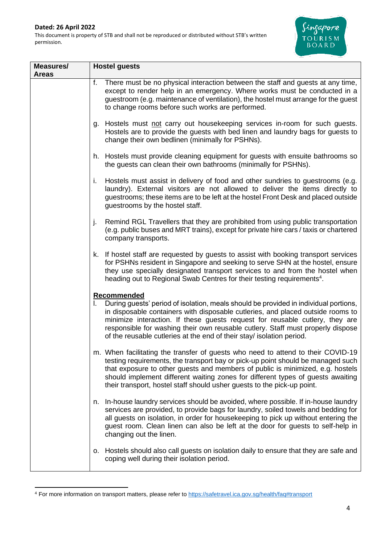

| Measures/<br><b>Areas</b> | <b>Hostel guests</b>                                                                                                                                                                                                                                                                                                                                                                                                               |  |
|---------------------------|------------------------------------------------------------------------------------------------------------------------------------------------------------------------------------------------------------------------------------------------------------------------------------------------------------------------------------------------------------------------------------------------------------------------------------|--|
|                           | f.<br>There must be no physical interaction between the staff and guests at any time,<br>except to render help in an emergency. Where works must be conducted in a<br>guestroom (e.g. maintenance of ventilation), the hostel must arrange for the guest<br>to change rooms before such works are performed.                                                                                                                       |  |
|                           | g. Hostels must not carry out housekeeping services in-room for such guests.<br>Hostels are to provide the guests with bed linen and laundry bags for guests to<br>change their own bedlinen (minimally for PSHNs).                                                                                                                                                                                                                |  |
|                           | h. Hostels must provide cleaning equipment for guests with ensuite bathrooms so<br>the guests can clean their own bathrooms (minimally for PSHNs).                                                                                                                                                                                                                                                                                 |  |
|                           | Hostels must assist in delivery of food and other sundries to guestrooms (e.g.<br>i.<br>laundry). External visitors are not allowed to deliver the items directly to<br>guestrooms; these items are to be left at the hostel Front Desk and placed outside<br>guestrooms by the hostel staff.                                                                                                                                      |  |
|                           | Remind RGL Travellers that they are prohibited from using public transportation<br>j.<br>(e.g. public buses and MRT trains), except for private hire cars / taxis or chartered<br>company transports.                                                                                                                                                                                                                              |  |
|                           | k. If hostel staff are requested by guests to assist with booking transport services<br>for PSHNs resident in Singapore and seeking to serve SHN at the hostel, ensure<br>they use specially designated transport services to and from the hostel when<br>heading out to Regional Swab Centres for their testing requirements <sup>4</sup> .                                                                                       |  |
|                           | Recommended<br>During guests' period of isolation, meals should be provided in individual portions,<br>in disposable containers with disposable cutleries, and placed outside rooms to<br>minimize interaction. If these guests request for reusable cutlery, they are<br>responsible for washing their own reusable cutlery. Staff must properly dispose<br>of the reusable cutleries at the end of their stay/ isolation period. |  |
|                           | m. When facilitating the transfer of guests who need to attend to their COVID-19<br>testing requirements, the transport bay or pick-up point should be managed such<br>that exposure to other guests and members of public is minimized, e.g. hostels<br>should implement different waiting zones for different types of guests awaiting<br>their transport, hostel staff should usher guests to the pick-up point.                |  |
|                           | In-house laundry services should be avoided, where possible. If in-house laundry<br>n.<br>services are provided, to provide bags for laundry, soiled towels and bedding for<br>all guests on isolation, in order for housekeeping to pick up without entering the<br>guest room. Clean linen can also be left at the door for guests to self-help in<br>changing out the linen.                                                    |  |
|                           | o. Hostels should also call guests on isolation daily to ensure that they are safe and<br>coping well during their isolation period.                                                                                                                                                                                                                                                                                               |  |

<sup>4</sup> For more information on transport matters, please refer to<https://safetravel.ica.gov.sg/health/faq#transport>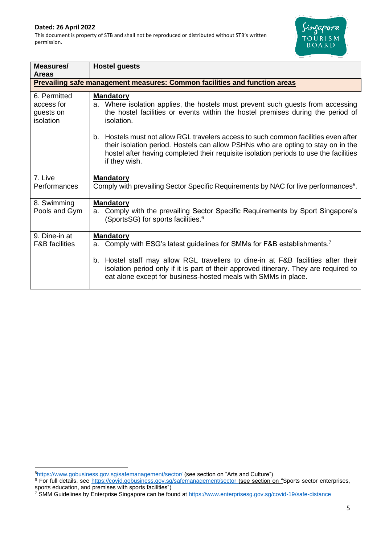

| Measures/<br><b>Areas</b>                                                        | <b>Hostel guests</b>                                                                                                                                                                                                                                                              |  |  |  |
|----------------------------------------------------------------------------------|-----------------------------------------------------------------------------------------------------------------------------------------------------------------------------------------------------------------------------------------------------------------------------------|--|--|--|
| <b>Prevailing safe management measures: Common facilities and function areas</b> |                                                                                                                                                                                                                                                                                   |  |  |  |
| 6. Permitted<br>access for<br>guests on<br>isolation                             | <b>Mandatory</b><br>a. Where isolation applies, the hostels must prevent such guests from accessing<br>the hostel facilities or events within the hostel premises during the period of<br>isolation.                                                                              |  |  |  |
|                                                                                  | b. Hostels must not allow RGL travelers access to such common facilities even after<br>their isolation period. Hostels can allow PSHNs who are opting to stay on in the<br>hostel after having completed their requisite isolation periods to use the facilities<br>if they wish. |  |  |  |
| 7. Live<br>Performances                                                          | <b>Mandatory</b><br>Comply with prevailing Sector Specific Requirements by NAC for live performances <sup>5</sup> .                                                                                                                                                               |  |  |  |
| 8. Swimming<br>Pools and Gym                                                     | <b>Mandatory</b><br>Comply with the prevailing Sector Specific Requirements by Sport Singapore's<br>a.<br>(SportsSG) for sports facilities. <sup>6</sup>                                                                                                                          |  |  |  |
| 9. Dine-in at<br><b>F&amp;B</b> facilities                                       | <b>Mandatory</b><br>a. Comply with ESG's latest guidelines for SMMs for F&B establishments. <sup>7</sup>                                                                                                                                                                          |  |  |  |
|                                                                                  | b. Hostel staff may allow RGL travellers to dine-in at F&B facilities after their<br>isolation period only if it is part of their approved itinerary. They are required to<br>eat alone except for business-hosted meals with SMMs in place.                                      |  |  |  |

<sup>5</sup><https://www.gobusiness.gov.sg/safemanagement/sector/> (see section on "Arts and Culture")

<sup>&</sup>lt;sup>6</sup> For full details, see [https://covid.gobusiness.gov.sg/safemanagement/sector](https://covid.gobusiness.gov.sg/safemanagement/sector/) (see section on "Sports sector enterprises, sports education, and premises with sports facilities")

<sup>&</sup>lt;sup>7</sup> SMM Guidelines by Enterprise Singapore can be found at<https://www.enterprisesg.gov.sg/covid-19/safe-distance>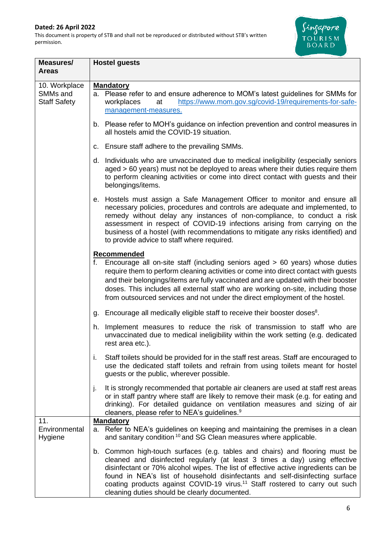I

This document is property of STB and shall not be reproduced or distributed without STB's written permission.



| Measures/<br><b>Areas</b>                        | <b>Hostel guests</b>                                                                                                                                                                                                                                                                                                                                                                                                                                                        |  |  |
|--------------------------------------------------|-----------------------------------------------------------------------------------------------------------------------------------------------------------------------------------------------------------------------------------------------------------------------------------------------------------------------------------------------------------------------------------------------------------------------------------------------------------------------------|--|--|
| 10. Workplace<br>SMMs and<br><b>Staff Safety</b> | <b>Mandatory</b><br>a. Please refer to and ensure adherence to MOM's latest guidelines for SMMs for<br>https://www.mom.gov.sg/covid-19/requirements-for-safe-<br>at<br>workplaces<br>management-measures.                                                                                                                                                                                                                                                                   |  |  |
|                                                  | b. Please refer to MOH's guidance on infection prevention and control measures in<br>all hostels amid the COVID-19 situation.                                                                                                                                                                                                                                                                                                                                               |  |  |
|                                                  | c. Ensure staff adhere to the prevailing SMMs.                                                                                                                                                                                                                                                                                                                                                                                                                              |  |  |
|                                                  | d. Individuals who are unvaccinated due to medical ineligibility (especially seniors<br>aged > 60 years) must not be deployed to areas where their duties require them<br>to perform cleaning activities or come into direct contact with guests and their<br>belongings/items.                                                                                                                                                                                             |  |  |
|                                                  | e. Hostels must assign a Safe Management Officer to monitor and ensure all<br>necessary policies, procedures and controls are adequate and implemented, to<br>remedy without delay any instances of non-compliance, to conduct a risk<br>assessment in respect of COVID-19 infections arising from carrying on the<br>business of a hostel (with recommendations to mitigate any risks identified) and<br>to provide advice to staff where required.                        |  |  |
|                                                  | Recommended<br>f. Encourage all on-site staff (including seniors aged > 60 years) whose duties<br>require them to perform cleaning activities or come into direct contact with guests<br>and their belongings/items are fully vaccinated and are updated with their booster<br>doses. This includes all external staff who are working on-site, including those<br>from outsourced services and not under the direct employment of the hostel.                              |  |  |
|                                                  | g. Encourage all medically eligible staff to receive their booster doses <sup>8</sup> .                                                                                                                                                                                                                                                                                                                                                                                     |  |  |
|                                                  | Implement measures to reduce the risk of transmission to staff who are<br>h.<br>unvaccinated due to medical ineligibility within the work setting (e.g. dedicated<br>rest area etc.).                                                                                                                                                                                                                                                                                       |  |  |
|                                                  | Staff toilets should be provided for in the staff rest areas. Staff are encouraged to<br>i.<br>use the dedicated staff toilets and refrain from using toilets meant for hostel<br>guests or the public, wherever possible.                                                                                                                                                                                                                                                  |  |  |
|                                                  | It is strongly recommended that portable air cleaners are used at staff rest areas<br>j.<br>or in staff pantry where staff are likely to remove their mask (e.g. for eating and<br>drinking). For detailed guidance on ventilation measures and sizing of air<br>cleaners, please refer to NEA's guidelines. <sup>9</sup>                                                                                                                                                   |  |  |
| 11.<br>Environmental<br>Hygiene                  | <b>Mandatory</b><br>a. Refer to NEA's guidelines on keeping and maintaining the premises in a clean<br>and sanitary condition <sup>10</sup> and SG Clean measures where applicable.                                                                                                                                                                                                                                                                                         |  |  |
|                                                  | b. Common high-touch surfaces (e.g. tables and chairs) and flooring must be<br>cleaned and disinfected regularly (at least 3 times a day) using effective<br>disinfectant or 70% alcohol wipes. The list of effective active ingredients can be<br>found in NEA's list of household disinfectants and self-disinfecting surface<br>coating products against COVID-19 virus. <sup>11</sup> Staff rostered to carry out such<br>cleaning duties should be clearly documented. |  |  |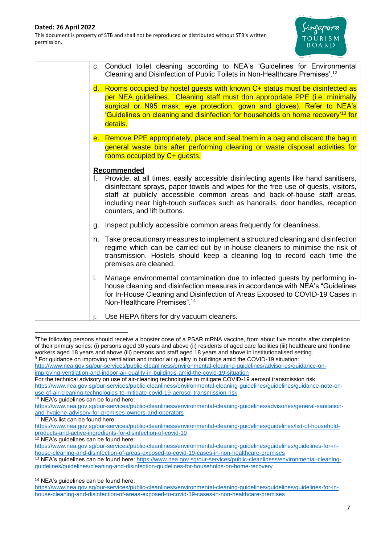

|    | c. Conduct toilet cleaning according to NEA's 'Guidelines for Environmental<br>Cleaning and Disinfection of Public Toilets in Non-Healthcare Premises'. <sup>12</sup>                                                                                                                                                                                                                 |
|----|---------------------------------------------------------------------------------------------------------------------------------------------------------------------------------------------------------------------------------------------------------------------------------------------------------------------------------------------------------------------------------------|
|    | d. Rooms occupied by hostel guests with known C+ status must be disinfected as<br>per NEA guidelines. Cleaning staff must don appropriate PPE (i.e. minimally<br>surgical or N95 mask, eye protection, gown and gloves). Refer to NEA's<br>'Guidelines on cleaning and disinfection for households on home recovery' <sup>13</sup> for<br>details.                                    |
|    | e. Remove PPE appropriately, place and seal them in a bag and discard the bag in<br>general waste bins after performing cleaning or waste disposal activities for<br>rooms occupied by C+ quests.                                                                                                                                                                                     |
|    | Recommended<br>f. Provide, at all times, easily accessible disinfecting agents like hand sanitisers,<br>disinfectant sprays, paper towels and wipes for the free use of guests, visitors,<br>staff at publicly accessible common areas and back-of-house staff areas,<br>including near high-touch surfaces such as handrails, door handles, reception<br>counters, and lift buttons. |
| g. | Inspect publicly accessible common areas frequently for cleanliness.                                                                                                                                                                                                                                                                                                                  |
| h. | Take precautionary measures to implement a structured cleaning and disinfection<br>regime which can be carried out by in-house cleaners to minimise the risk of<br>transmission. Hostels should keep a cleaning log to record each time the<br>premises are cleaned.                                                                                                                  |
| i. | Manage environmental contamination due to infected guests by performing in-<br>house cleaning and disinfection measures in accordance with NEA's "Guidelines"<br>for In-House Cleaning and Disinfection of Areas Exposed to COVID-19 Cases in<br>Non-Healthcare Premises". <sup>14</sup>                                                                                              |
|    | Use HEPA filters for dry vacuum cleaners.                                                                                                                                                                                                                                                                                                                                             |

<sup>&</sup>lt;sup>8</sup>The following persons should receive a booster dose of a PSAR mRNA vaccine, from about five months after completion of their primary series: (i) persons aged 30 years and above (ii) residents of aged care facilities (iii) healthcare and frontline workers aged 18 years and above (iii) persons and staff aged 18 years and above in institutionalised setting. <sup>9</sup> For guidance on improving ventilation and indoor air quality in buildings amid the COVID-19 situation:

[http://www.nea.gov.sg/our-services/public-cleanliness/environmental-cleaning-guidelines/advisories/guidance-on](http://www.nea.gov.sg/our-services/public-cleanliness/environmental-cleaning-guidelines/advisories/guidance-on-improving-ventilation-and-indoor-air-quality-in-buildings-amid-the-covid-19-situation)[improving-ventilation-and-indoor-air-quality-in-buildings-amid-the-covid-19-situation](http://www.nea.gov.sg/our-services/public-cleanliness/environmental-cleaning-guidelines/advisories/guidance-on-improving-ventilation-and-indoor-air-quality-in-buildings-amid-the-covid-19-situation)

For the technical advisory on use of air-cleaning technologies to mitigate COVID-19 aerosol transmission risk: [https://www.nea.gov.sg/our-services/public-cleanliness/environmental-cleaning-guidelines/guidelines/guidance-note-on](https://www.nea.gov.sg/our-services/public-cleanliness/environmental-cleaning-guidelines/guidelines/guidance-note-on-use-of-air-cleaning-technologies-to-mitigate-covid-19-aerosol-transmission-risk)[use-of-air-cleaning-technologies-to-mitigate-covid-19-aerosol-transmission-risk](https://www.nea.gov.sg/our-services/public-cleanliness/environmental-cleaning-guidelines/guidelines/guidance-note-on-use-of-air-cleaning-technologies-to-mitigate-covid-19-aerosol-transmission-risk)

<sup>&</sup>lt;sup>10</sup> NEA's guidelines can be found here:

[https://www.nea.gov.sg/our-services/public-cleanliness/environmental-cleaning-guidelines/advisories/general-sanitation](https://www.nea.gov.sg/our-services/public-cleanliness/environmental-cleaning-guidelines/advisories/general-sanitation-and-hygiene-advisory-for-premises-owners-and-operators)[and-hygiene-advisory-for-premises-owners-and-operators](https://www.nea.gov.sg/our-services/public-cleanliness/environmental-cleaning-guidelines/advisories/general-sanitation-and-hygiene-advisory-for-premises-owners-and-operators)

 $11$  NEA's list can be found here:

[https://www.nea.gov.sg/our-services/public-cleanliness/environmental-cleaning-guidelines/guidelines/list-of-household](https://www.nea.gov.sg/our-services/public-cleanliness/environmental-cleaning-guidelines/guidelines/list-of-household-products-and-active-ingredients-for-disinfection-of-covid-19)[products-and-active-ingredients-for-disinfection-of-covid-19](https://www.nea.gov.sg/our-services/public-cleanliness/environmental-cleaning-guidelines/guidelines/list-of-household-products-and-active-ingredients-for-disinfection-of-covid-19)

<sup>&</sup>lt;sup>12</sup> NEA's guidelines can be found here:

[https://www.nea.gov.sg/our-services/public-cleanliness/environmental-cleaning-guidelines/guidelines/guidelines-for-in](https://www.nea.gov.sg/our-services/public-cleanliness/environmental-cleaning-guidelines/guidelines/guidelines-for-in-house-cleaning-and-disinfection-of-areas-exposed-to-covid-19-cases-in-non-healthcare-premises)[house-cleaning-and-disinfection-of-areas-exposed-to-covid-19-cases-in-non-healthcare-premises](https://www.nea.gov.sg/our-services/public-cleanliness/environmental-cleaning-guidelines/guidelines/guidelines-for-in-house-cleaning-and-disinfection-of-areas-exposed-to-covid-19-cases-in-non-healthcare-premises)

<sup>&</sup>lt;sup>13</sup> NEA's guidelines can be found here: [https://www.nea.gov.sg/our-services/public-cleanliness/environmental-cleaning](https://www.nea.gov.sg/our-services/public-cleanliness/environmental-cleaning-guidelines/guidelines/cleaning-and-disinfection-guidelines-for-households-on-home-recovery)[guidelines/guidelines/cleaning-and-disinfection-guidelines-for-households-on-home-recovery](https://www.nea.gov.sg/our-services/public-cleanliness/environmental-cleaning-guidelines/guidelines/cleaning-and-disinfection-guidelines-for-households-on-home-recovery)

<sup>&</sup>lt;sup>14</sup> NEA's quidelines can be found here:

[https://www.nea.gov.sg/our-services/public-cleanliness/environmental-cleaning-guidelines/guidelines/guidelines-for-in](https://www.nea.gov.sg/our-services/public-cleanliness/environmental-cleaning-guidelines/guidelines/guidelines-for-in-house-cleaning-and-disinfection-of-areas-exposed-to-covid-19-cases-in-non-healthcare-premises)[house-cleaning-and-disinfection-of-areas-exposed-to-covid-19-cases-in-non-healthcare-premises](https://www.nea.gov.sg/our-services/public-cleanliness/environmental-cleaning-guidelines/guidelines/guidelines-for-in-house-cleaning-and-disinfection-of-areas-exposed-to-covid-19-cases-in-non-healthcare-premises)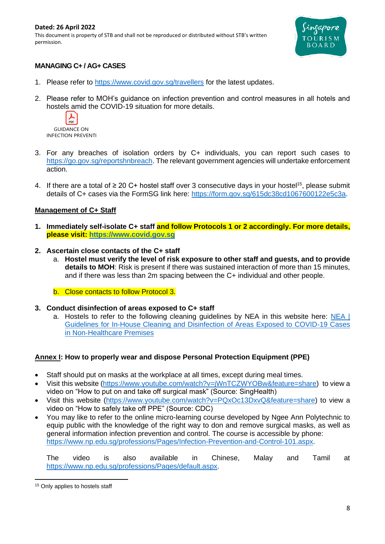#### **Dated: 26 April 2022** This document is property of STB and shall not be reproduced or distributed without STB's written permission.



# **MANAGING C+ / AG+ CASES**

- 1. Please refer to<https://www.covid.gov.sg/travellers> for the latest updates.
- 2. Please refer to MOH's guidance on infection prevention and control measures in all hotels and hostels amid the COVID-19 situation for more details.



- 3. For any breaches of isolation orders by C+ individuals, you can report such cases to [https://go.gov.sg/reportshnbreach.](https://go.gov.sg/reportshnbreach) The relevant government agencies will undertake enforcement action.
- 4. If there are a total of  $\geq 20$  C+ hostel staff over 3 consecutive days in your hostel<sup>15</sup>, please submit details of C+ cases via the FormSG link here: [https://form.gov.sg/615dc38cd1067600122e5c3a.](https://form.gov.sg/615dc38cd1067600122e5c3a)

# **Management of C+ Staff**

- **1. Immediately self-isolate C+ staff and follow Protocols 1 or 2 accordingly. For more details, please visit: [https://www.covid.gov.sg](https://www.covid.gov.sg/)**
- **2. Ascertain close contacts of the C+ staff**
	- a. **Hostel must verify the level of risk exposure to other staff and guests, and to provide details to MOH**: Risk is present if there was sustained interaction of more than 15 minutes, and if there was less than 2m spacing between the C+ individual and other people.
	- b. Close contacts to follow Protocol 3.
- **3. Conduct disinfection of areas exposed to C+ staff**
	- a. Hostels to refer to the following cleaning guidelines by NEA in this website here: NEA I [Guidelines for In-House Cleaning and Disinfection of Areas Exposed to COVID-19 Cases](https://www.nea.gov.sg/our-services/public-cleanliness/environmental-cleaning-guidelines/guidelines/guidelines-for-in-house-cleaning-and-disinfection-of-areas-exposed-to-covid-19-cases-in-non-healthcare-premises)  [in Non-Healthcare Premises](https://www.nea.gov.sg/our-services/public-cleanliness/environmental-cleaning-guidelines/guidelines/guidelines-for-in-house-cleaning-and-disinfection-of-areas-exposed-to-covid-19-cases-in-non-healthcare-premises)

# **Annex I: How to properly wear and dispose Personal Protection Equipment (PPE)**

- Staff should put on masks at the workplace at all times, except during meal times.
- Visit this website [\(https://www.youtube.com/watch?v=jWnTCZWYOBw&feature=share\)](https://www.youtube.com/watch?v=jWnTCZWYOBw&feature=share) to view a video on "How to put on and take off surgical mask" (Source: SingHealth)
- Visit this website [\(https://www.youtube.com/watch?v=PQxOc13DxvQ&feature=share\)](https://www.youtube.com/watch?v=PQxOc13DxvQ&feature=share) to view a video on "How to safely take off PPE" (Source: CDC)
- You may like to refer to the online micro-learning course developed by Ngee Ann Polytechnic to equip public with the knowledge of the right way to don and remove surgical masks, as well as general information infection prevention and control. The course is accessible by phone: [https://www.np.edu.sg/professions/Pages/Infection-Prevention-and-Control-101.aspx.](https://www.np.edu.sg/professions/Pages/Infection-Prevention-and-Control-101.aspx)

The video is also available in Chinese, Malay and Tamil at [https://www.np.edu.sg/professions/Pages/default.aspx.](https://www.np.edu.sg/professions/Pages/default.aspx)

<sup>&</sup>lt;sup>15</sup> Only applies to hostels staff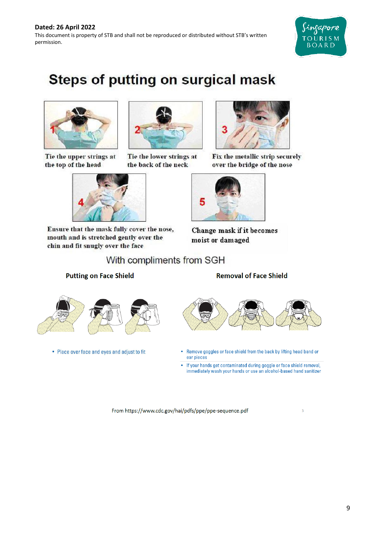

# **Steps of putting on surgical mask**



Tie the upper strings at the top of the head



Ensure that the mask fully cover the nose, mouth and is stretched gently over the chin and fit snugly over the face



Tie the lower strings at the back of the neck



Fix the metallic strip securely over the bridge of the nose



**Change mask if it becomes** moist or damaged

With compliments from SGH

# **Putting on Face Shield**



• Place over face and eyes and adjust to fit



# **Removal of Face Shield**



- Remove goggles or face shield from the back by lifting head band or  $\bullet$ ear pieces
- If your hands get contaminated during goggle or face shield removal, immediately wash your hands or use an alcohol-based hand sanitizer

 $\overline{3}$ 

From https://www.cdc.gov/hai/pdfs/ppe/ppe-sequence.pdf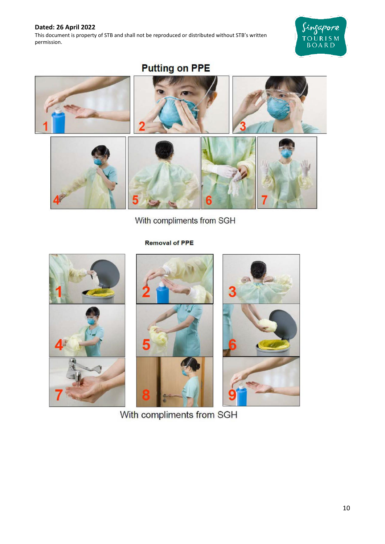This document is property of STB and shall not be reproduced or distributed without STB's written permission.



**Putting on PPE** 



With compliments from SGH

**Removal of PPE** 







With compliments from SGH